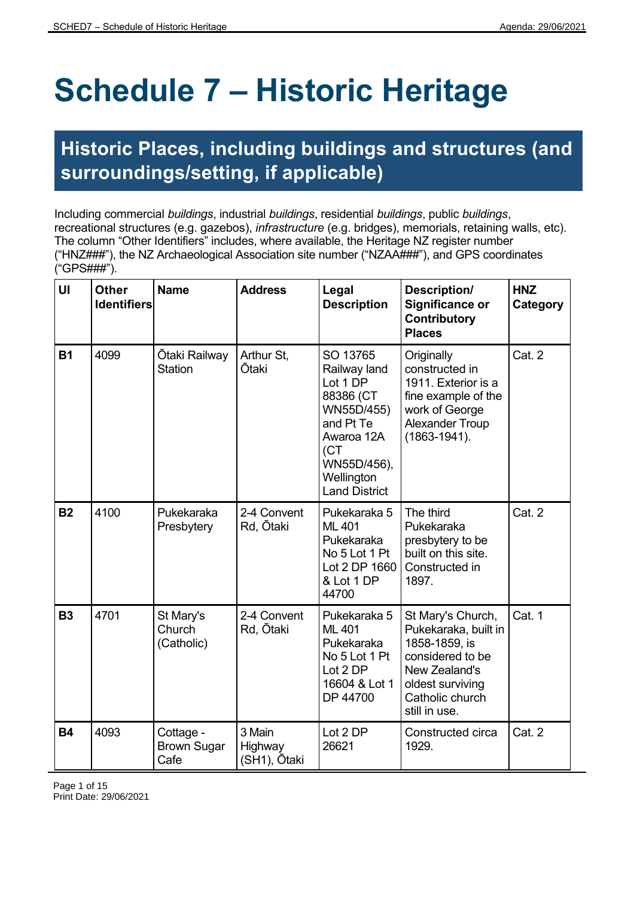# **Schedule 7 – Historic Heritage**

### **Historic Places, including buildings and structures (and surroundings/setting, if applicable)**

Including commercial *buildings*, industrial *buildings*, residential *buildings*, public *buildings*, recreational structures (e.g. gazebos), *infrastructure* (e.g. bridges), memorials, retaining walls, etc). The column "Other Identifiers" includes, where available, the Heritage NZ register number ("HNZ###"), the NZ Archaeological Association site number ("NZAA###"), and GPS coordinates ("GPS###").

| UI        | <b>Other</b><br><b>Identifiers</b> | <b>Name</b>                             | <b>Address</b>                    | Legal<br><b>Description</b>                                                                                                                             | Description/<br>Significance or<br><b>Contributory</b><br><b>Places</b>                                                                                 | <b>HNZ</b><br>Category |
|-----------|------------------------------------|-----------------------------------------|-----------------------------------|---------------------------------------------------------------------------------------------------------------------------------------------------------|---------------------------------------------------------------------------------------------------------------------------------------------------------|------------------------|
| <b>B1</b> | 4099                               | Ōtaki Railway<br><b>Station</b>         | Arthur St,<br><b>Otaki</b>        | SO 13765<br>Railway land<br>Lot 1 DP<br>88386 (CT<br>WN55D/455)<br>and Pt Te<br>Awaroa 12A<br>(CT)<br>WN55D/456),<br>Wellington<br><b>Land District</b> | Originally<br>constructed in<br>1911. Exterior is a<br>fine example of the<br>work of George<br><b>Alexander Troup</b><br>$(1863 - 1941)$ .             | Cat. 2                 |
| <b>B2</b> | 4100                               | Pukekaraka<br>Presbytery                | 2-4 Convent<br>Rd, Ōtaki          | Pukekaraka 5<br><b>ML 401</b><br>Pukekaraka<br>No 5 Lot 1 Pt<br>Lot 2 DP 1660<br>& Lot 1 DP<br>44700                                                    | The third<br>Pukekaraka<br>presbytery to be<br>built on this site.<br>Constructed in<br>1897.                                                           | Cat. 2                 |
| <b>B3</b> | 4701                               | St Mary's<br>Church<br>(Catholic)       | 2-4 Convent<br>Rd, Ōtaki          | Pukekaraka 5<br><b>ML401</b><br>Pukekaraka<br>No 5 Lot 1 Pt<br>Lot 2 DP<br>16604 & Lot 1<br>DP 44700                                                    | St Mary's Church,<br>Pukekaraka, built in<br>1858-1859, is<br>considered to be<br>New Zealand's<br>oldest surviving<br>Catholic church<br>still in use. | Cat. 1                 |
| <b>B4</b> | 4093                               | Cottage -<br><b>Brown Sugar</b><br>Cafe | 3 Main<br>Highway<br>(SH1), Ōtaki | Lot 2 DP<br>26621                                                                                                                                       | Constructed circa<br>1929.                                                                                                                              | Cat. 2                 |

Page 1 of 15 Print Date: 29/06/2021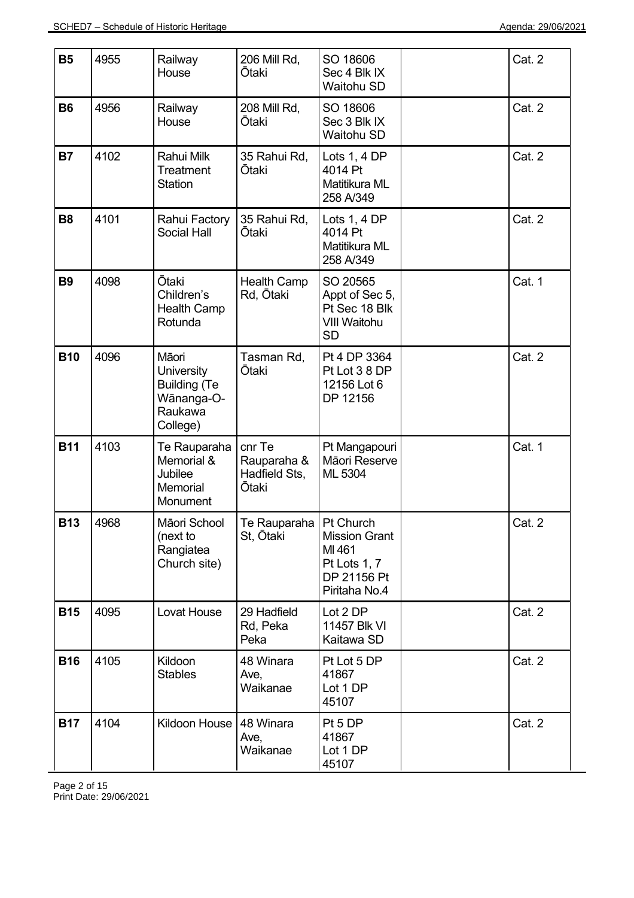| <b>B5</b>  | 4955 | Railway<br>House                                                                       | 206 Mill Rd,<br>Ōtaki                           | SO 18606<br>Sec 4 Blk IX<br><b>Waitohu SD</b>                                   | Cat. 2 |
|------------|------|----------------------------------------------------------------------------------------|-------------------------------------------------|---------------------------------------------------------------------------------|--------|
| <b>B6</b>  | 4956 | Railway<br>House                                                                       | 208 Mill Rd,<br>Ōtaki                           | SO 18606<br>Sec 3 Blk IX<br><b>Waitohu SD</b>                                   | Cat. 2 |
| <b>B7</b>  | 4102 | Rahui Milk<br><b>Treatment</b><br><b>Station</b>                                       | 35 Rahui Rd,<br><b>Otaki</b>                    | Lots $1, 4$ DP<br>4014 Pt<br>Matitikura ML<br>258 A/349                         | Cat. 2 |
| <b>B8</b>  | 4101 | Rahui Factory<br>Social Hall                                                           | 35 Rahui Rd,<br>Ōtaki                           | Lots $1, 4$ DP<br>4014 Pt<br>Matitikura ML<br>258 A/349                         | Cat. 2 |
| <b>B9</b>  | 4098 | <b>Ōtaki</b><br>Children's<br><b>Health Camp</b><br>Rotunda                            | <b>Health Camp</b><br>Rd, Ōtaki                 | SO 20565<br>Appt of Sec 5,<br>Pt Sec 18 Blk<br><b>VIII Waitohu</b><br><b>SD</b> | Cat. 1 |
| <b>B10</b> | 4096 | Māori<br><b>University</b><br><b>Building (Te</b><br>Wānanga-O-<br>Raukawa<br>College) | Tasman Rd,<br><b>Ōtaki</b>                      | Pt 4 DP 3364<br>Pt Lot 3 8 DP<br>12156 Lot 6<br>DP 12156                        | Cat. 2 |
| <b>B11</b> | 4103 | Te Rauparaha<br>Memorial &<br>Jubilee<br>Memorial<br>Monument                          | cnr Te<br>Rauparaha &<br>Hadfield Sts,<br>Ōtaki | Pt Mangapouri<br>Māori Reserve<br>ML 5304                                       | Cat. 1 |
| <b>B13</b> | 4968 | Māori School<br>(next to<br>Rangiatea<br>Church site)                                  | Te Rauparaha   Pt Church<br>St, Ōtaki           | <b>Mission Grant</b><br>MI 461<br>Pt Lots 1, 7<br>DP 21156 Pt<br>Piritaha No.4  | Cat. 2 |
| <b>B15</b> | 4095 | Lovat House                                                                            | 29 Hadfield<br>Rd, Peka<br>Peka                 | Lot 2 DP<br>11457 Blk VI<br>Kaitawa SD                                          | Cat. 2 |
| <b>B16</b> | 4105 | Kildoon<br><b>Stables</b>                                                              | 48 Winara<br>Ave,<br>Waikanae                   | Pt Lot 5 DP<br>41867<br>Lot 1 DP<br>45107                                       | Cat. 2 |
| <b>B17</b> | 4104 | Kildoon House                                                                          | 48 Winara<br>Ave,<br>Waikanae                   | Pt 5 DP<br>41867<br>Lot 1 DP<br>45107                                           | Cat. 2 |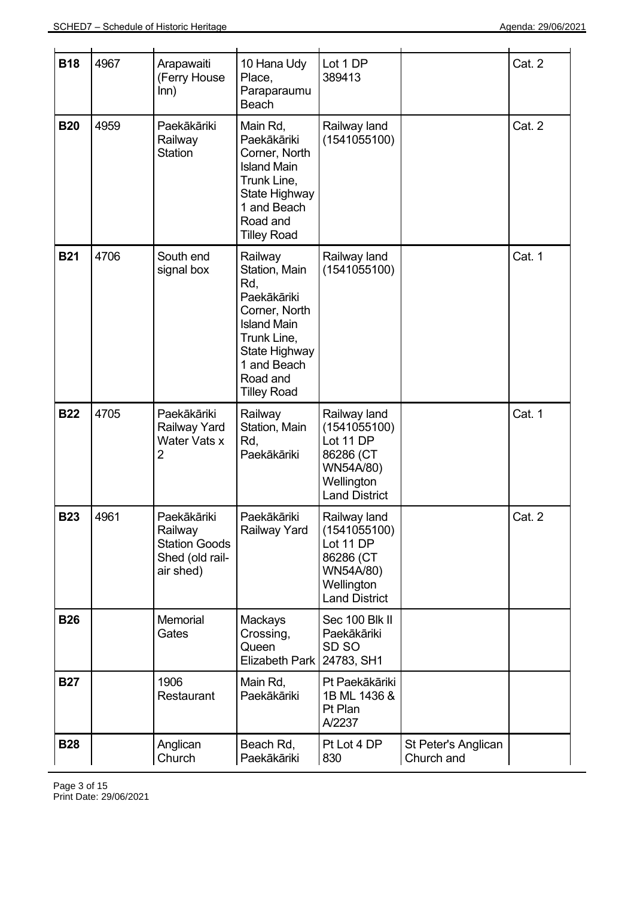| <b>B18</b> | 4967 | Arapawaiti<br>(Ferry House<br>lnn)                                             | 10 Hana Udy<br>Place,<br>Paraparaumu<br><b>Beach</b>                                                                                                                   | Lot 1 DP<br>389413                                                                                        |                                   | Cat. 2 |
|------------|------|--------------------------------------------------------------------------------|------------------------------------------------------------------------------------------------------------------------------------------------------------------------|-----------------------------------------------------------------------------------------------------------|-----------------------------------|--------|
| <b>B20</b> | 4959 | Paekākāriki<br>Railway<br><b>Station</b>                                       | Main Rd,<br>Paekākāriki<br>Corner, North<br><b>Island Main</b><br>Trunk Line,<br>State Highway<br>1 and Beach<br>Road and<br><b>Tilley Road</b>                        | Railway land<br>(1541055100)                                                                              |                                   | Cat. 2 |
| <b>B21</b> | 4706 | South end<br>signal box                                                        | Railway<br>Station, Main<br>Rd,<br>Paekākāriki<br>Corner, North<br><b>Island Main</b><br>Trunk Line,<br>State Highway<br>1 and Beach<br>Road and<br><b>Tilley Road</b> | Railway land<br>(1541055100)                                                                              |                                   | Cat. 1 |
| <b>B22</b> | 4705 | Paekākāriki<br>Railway Yard<br>Water Vats x<br>$\overline{2}$                  | Railway<br>Station, Main<br>Rd,<br>Paekākāriki                                                                                                                         | Railway land<br>(1541055100)<br>Lot 11 DP<br>86286 (CT<br>WN54A/80)<br>Wellington<br><b>Land District</b> |                                   | Cat. 1 |
| <b>B23</b> | 4961 | Paekākāriki<br>Railway<br><b>Station Goods</b><br>Shed (old rail-<br>air shed) | Paekākāriki<br>Railway Yard                                                                                                                                            | Railway land<br>(1541055100)<br>Lot 11 DP<br>86286 (CT<br>WN54A/80)<br>Wellington<br><b>Land District</b> |                                   | Cat. 2 |
| <b>B26</b> |      | Memorial<br>Gates                                                              | Mackays<br>Crossing,<br>Queen<br>Elizabeth Park                                                                                                                        | Sec 100 Blk II<br>Paekākāriki<br>SD SO<br>24783, SH1                                                      |                                   |        |
| <b>B27</b> |      | 1906<br>Restaurant                                                             | Main Rd,<br>Paekākāriki                                                                                                                                                | Pt Paekākāriki<br>1B ML 1436 &<br>Pt Plan<br>A/2237                                                       |                                   |        |
| <b>B28</b> |      | Anglican<br>Church                                                             | Beach Rd,<br>Paekākāriki                                                                                                                                               | Pt Lot 4 DP<br>830                                                                                        | St Peter's Anglican<br>Church and |        |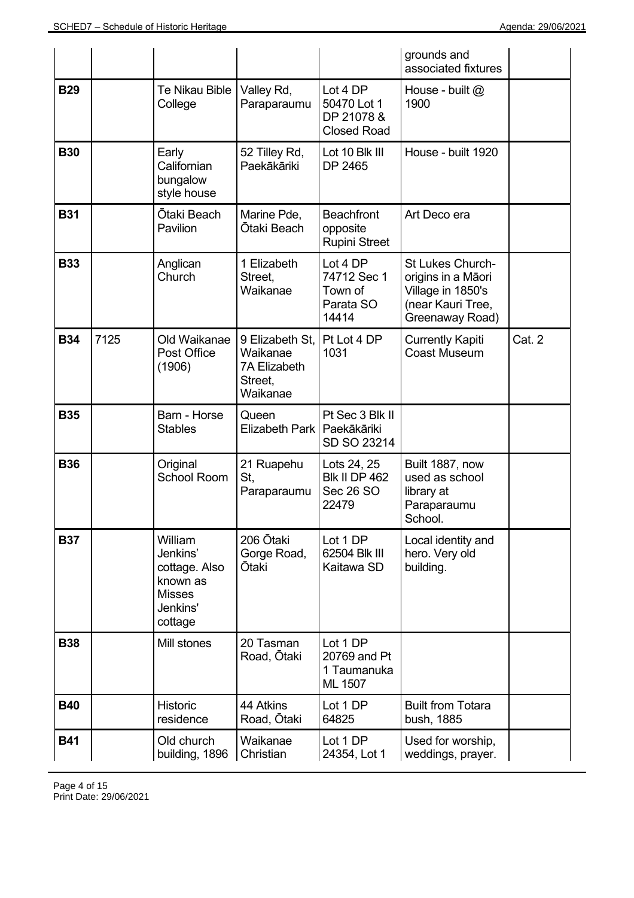|            |      |                                                                                          |                                                                           |                                                             | grounds and<br>associated fixtures                                                                         |        |
|------------|------|------------------------------------------------------------------------------------------|---------------------------------------------------------------------------|-------------------------------------------------------------|------------------------------------------------------------------------------------------------------------|--------|
| <b>B29</b> |      | Te Nikau Bible<br>College                                                                | Valley Rd,<br>Paraparaumu                                                 | Lot 4 DP<br>50470 Lot 1<br>DP 21078 &<br><b>Closed Road</b> | House - built @<br>1900                                                                                    |        |
| <b>B30</b> |      | Early<br>Californian<br>bungalow<br>style house                                          | 52 Tilley Rd,<br>Paekākāriki                                              | Lot 10 Blk III<br>DP 2465                                   | House - built 1920                                                                                         |        |
| <b>B31</b> |      | Ōtaki Beach<br>Pavilion                                                                  | Marine Pde,<br>Ōtaki Beach                                                | <b>Beachfront</b><br>opposite<br><b>Rupini Street</b>       | Art Deco era                                                                                               |        |
| <b>B33</b> |      | Anglican<br>Church                                                                       | 1 Elizabeth<br>Street,<br>Waikanae                                        | Lot 4 DP<br>74712 Sec 1<br>Town of<br>Parata SO<br>14414    | <b>St Lukes Church-</b><br>origins in a Māori<br>Village in 1850's<br>(near Kauri Tree,<br>Greenaway Road) |        |
| <b>B34</b> | 7125 | Old Waikanae<br>Post Office<br>(1906)                                                    | 9 Elizabeth St.<br>Waikanae<br><b>7A Elizabeth</b><br>Street,<br>Waikanae | Pt Lot 4 DP<br>1031                                         | <b>Currently Kapiti</b><br>Coast Museum                                                                    | Cat. 2 |
| <b>B35</b> |      | Barn - Horse<br><b>Stables</b>                                                           | Queen<br>Elizabeth Park                                                   | Pt Sec 3 Blk II<br>Paekākāriki<br>SD SO 23214               |                                                                                                            |        |
| <b>B36</b> |      | Original<br><b>School Room</b>                                                           | 21 Ruapehu<br>St,<br>Paraparaumu                                          | Lots 24, 25<br><b>Blk II DP 462</b><br>Sec 26 SO<br>22479   | Built 1887, now<br>used as school<br>library at<br>Paraparaumu<br>School.                                  |        |
| <b>B37</b> |      | William<br>Jenkins'<br>cottage. Also<br>known as<br><b>Misses</b><br>Jenkins'<br>cottage | 206 Ōtaki<br>Gorge Road,<br><b>Ōtaki</b>                                  | Lot 1 DP<br>62504 Blk III<br>Kaitawa SD                     | Local identity and<br>hero. Very old<br>building.                                                          |        |
| <b>B38</b> |      | Mill stones                                                                              | 20 Tasman<br>Road, Otaki                                                  | Lot 1 DP<br>20769 and Pt<br>1 Taumanuka<br>ML 1507          |                                                                                                            |        |
| <b>B40</b> |      | <b>Historic</b><br>residence                                                             | 44 Atkins<br>Road, Ōtaki                                                  | Lot 1 DP<br>64825                                           | <b>Built from Totara</b><br>bush, 1885                                                                     |        |
| <b>B41</b> |      | Old church<br>building, 1896                                                             | Waikanae<br>Christian                                                     | Lot 1 DP<br>24354, Lot 1                                    | Used for worship,<br>weddings, prayer.                                                                     |        |

Page 4 of 15 Print Date: 29/06/2021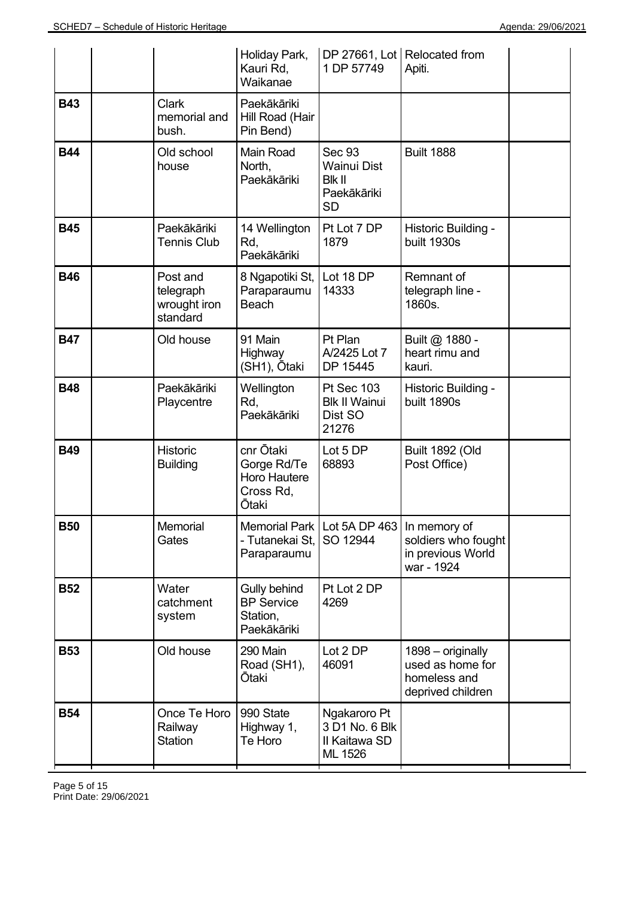|            |                                                   | Holiday Park,<br>Kauri Rd,<br>Waikanae                         | 1 DP 57749                                                                       | DP 27661, Lot   Relocated from<br>Apiti.                                   |  |
|------------|---------------------------------------------------|----------------------------------------------------------------|----------------------------------------------------------------------------------|----------------------------------------------------------------------------|--|
| <b>B43</b> | <b>Clark</b><br>memorial and<br>bush.             | Paekākāriki<br>Hill Road (Hair<br>Pin Bend)                    |                                                                                  |                                                                            |  |
| <b>B44</b> | Old school<br>house                               | Main Road<br>North,<br>Paekākāriki                             | <b>Sec 93</b><br><b>Wainui Dist</b><br><b>Blk II</b><br>Paekākāriki<br><b>SD</b> | <b>Built 1888</b>                                                          |  |
| <b>B45</b> | Paekākāriki<br><b>Tennis Club</b>                 | 14 Wellington<br>Rd,<br>Paekākāriki                            | Pt Lot 7 DP<br>1879                                                              | Historic Building -<br>built 1930s                                         |  |
| <b>B46</b> | Post and<br>telegraph<br>wrought iron<br>standard | 8 Ngapotiki St,<br>Paraparaumu<br><b>Beach</b>                 | Lot 18 DP<br>14333                                                               | Remnant of<br>telegraph line -<br>1860s.                                   |  |
| <b>B47</b> | Old house                                         | 91 Main<br>Highway<br>(SH1), Ōtaki                             | Pt Plan<br>A/2425 Lot 7<br>DP 15445                                              | Built @ 1880 -<br>heart rimu and<br>kauri.                                 |  |
| <b>B48</b> | Paekākāriki<br>Playcentre                         | Wellington<br>Rd,<br>Paekākāriki                               | <b>Pt Sec 103</b><br><b>Blk II Wainui</b><br>Dist SO<br>21276                    | Historic Building -<br>built 1890s                                         |  |
| <b>B49</b> | <b>Historic</b><br><b>Building</b>                | cnr Ōtaki<br>Gorge Rd/Te<br>Horo Hautere<br>Cross Rd,<br>Ōtaki | Lot 5 DP<br>68893                                                                | <b>Built 1892 (Old</b><br>Post Office)                                     |  |
| <b>B50</b> | Memorial<br>Gates                                 | - Tutanekai St,<br>Paraparaumu                                 | Memorial Park   Lot 5A DP 463<br>SO 12944                                        | In memory of<br>soldiers who fought<br>in previous World<br>war - 1924     |  |
| <b>B52</b> | Water<br>catchment<br>system                      | Gully behind<br><b>BP</b> Service<br>Station,<br>Paekākāriki   | Pt Lot 2 DP<br>4269                                                              |                                                                            |  |
| <b>B53</b> | Old house                                         | 290 Main<br>Road (SH1),<br>Ōtaki                               | Lot 2 DP<br>46091                                                                | 1898 - originally<br>used as home for<br>homeless and<br>deprived children |  |
| <b>B54</b> | Once Te Horo<br>Railway<br><b>Station</b>         | 990 State<br>Highway 1,<br>Te Horo                             | Ngakaroro Pt<br>3 D1 No. 6 Blk<br>II Kaitawa SD<br>ML 1526                       |                                                                            |  |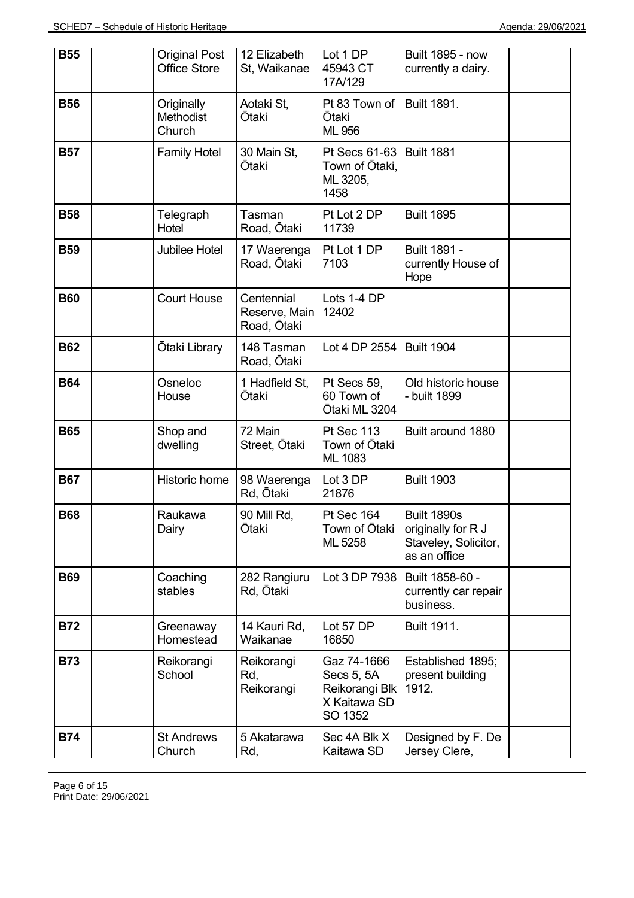| <b>B55</b> | <b>Original Post</b><br><b>Office Store</b> | 12 Elizabeth<br>St, Waikanae               | Lot 1 DP<br>45943 CT<br>17A/129                                        | <b>Built 1895 - now</b><br>currently a dairy.                                    |  |
|------------|---------------------------------------------|--------------------------------------------|------------------------------------------------------------------------|----------------------------------------------------------------------------------|--|
| <b>B56</b> | Originally<br><b>Methodist</b><br>Church    | Aotaki St,<br><b>Otaki</b>                 | Pt 83 Town of<br><b>Otaki</b><br>ML 956                                | <b>Built 1891.</b>                                                               |  |
| <b>B57</b> | <b>Family Hotel</b>                         | 30 Main St,<br>Ōtaki                       | Pt Secs 61-63<br>Town of Ōtaki,<br>ML 3205,<br>1458                    | <b>Built 1881</b>                                                                |  |
| <b>B58</b> | Telegraph<br>Hotel                          | Tasman<br>Road, Ōtaki                      | Pt Lot 2 DP<br>11739                                                   | <b>Built 1895</b>                                                                |  |
| <b>B59</b> | <b>Jubilee Hotel</b>                        | 17 Waerenga<br>Road, Ōtaki                 | Pt Lot 1 DP<br>7103                                                    | Built 1891 -<br>currently House of<br>Hope                                       |  |
| <b>B60</b> | <b>Court House</b>                          | Centennial<br>Reserve, Main<br>Road, Ōtaki | Lots 1-4 DP<br>12402                                                   |                                                                                  |  |
| <b>B62</b> | Ōtaki Library                               | 148 Tasman<br>Road, Ōtaki                  | Lot 4 DP 2554                                                          | <b>Built 1904</b>                                                                |  |
| <b>B64</b> | Osneloc<br>House                            | 1 Hadfield St,<br>Ōtaki                    | Pt Secs 59,<br>60 Town of<br>Ōtaki ML 3204                             | Old historic house<br>- built 1899                                               |  |
| <b>B65</b> | Shop and<br>dwelling                        | 72 Main<br>Street, Ōtaki                   | <b>Pt Sec 113</b><br>Town of Otaki<br>ML 1083                          | Built around 1880                                                                |  |
| <b>B67</b> | Historic home                               | 98 Waerenga<br>Rd, Ōtaki                   | Lot 3 DP<br>21876                                                      | <b>Built 1903</b>                                                                |  |
| <b>B68</b> | Raukawa<br>Dairy                            | 90 Mill Rd,<br>Ōtaki                       | Pt Sec 164<br>Town of Ōtaki<br>ML 5258                                 | <b>Built 1890s</b><br>originally for R J<br>Staveley, Solicitor,<br>as an office |  |
| <b>B69</b> | Coaching<br>stables                         | 282 Rangiuru<br>Rd, Ōtaki                  | Lot 3 DP 7938                                                          | Built 1858-60 -<br>currently car repair<br>business.                             |  |
| <b>B72</b> | Greenaway<br>Homestead                      | 14 Kauri Rd,<br>Waikanae                   | Lot 57 DP<br>16850                                                     | <b>Built 1911.</b>                                                               |  |
| <b>B73</b> | Reikorangi<br>School                        | Reikorangi<br>Rd,<br>Reikorangi            | Gaz 74-1666<br>Secs 5, 5A<br>Reikorangi Blk<br>X Kaitawa SD<br>SO 1352 | Established 1895;<br>present building<br>1912.                                   |  |
| <b>B74</b> | <b>St Andrews</b><br>Church                 | 5 Akatarawa<br>Rd,                         | Sec 4A Blk X<br>Kaitawa SD                                             | Designed by F. De<br>Jersey Clere,                                               |  |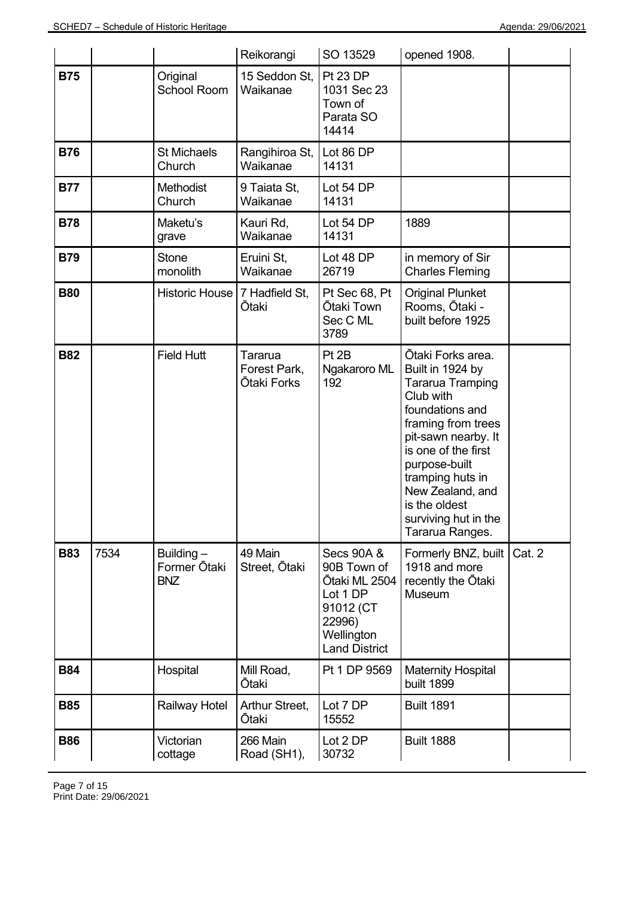|            |      |                                         | Reikorangi                                    | SO 13529                                                                                                            | opened 1908.                                                                                                                                                                                                                                                                              |        |
|------------|------|-----------------------------------------|-----------------------------------------------|---------------------------------------------------------------------------------------------------------------------|-------------------------------------------------------------------------------------------------------------------------------------------------------------------------------------------------------------------------------------------------------------------------------------------|--------|
| <b>B75</b> |      | Original<br><b>School Room</b>          | 15 Seddon St,<br>Waikanae                     | Pt 23 DP<br>1031 Sec 23<br>Town of<br>Parata SO<br>14414                                                            |                                                                                                                                                                                                                                                                                           |        |
| <b>B76</b> |      | <b>St Michaels</b><br>Church            | Rangihiroa St,<br>Waikanae                    | Lot 86 DP<br>14131                                                                                                  |                                                                                                                                                                                                                                                                                           |        |
| <b>B77</b> |      | <b>Methodist</b><br>Church              | 9 Taiata St,<br>Waikanae                      | Lot 54 DP<br>14131                                                                                                  |                                                                                                                                                                                                                                                                                           |        |
| <b>B78</b> |      | Maketu's<br>grave                       | Kauri Rd,<br>Waikanae                         | Lot 54 DP<br>14131                                                                                                  | 1889                                                                                                                                                                                                                                                                                      |        |
| <b>B79</b> |      | <b>Stone</b><br>monolith                | Eruini St,<br>Waikanae                        | Lot 48 DP<br>26719                                                                                                  | in memory of Sir<br><b>Charles Fleming</b>                                                                                                                                                                                                                                                |        |
| <b>B80</b> |      | <b>Historic House</b>                   | 7 Hadfield St,<br>Ōtaki                       | Pt Sec 68, Pt<br>Ōtaki Town<br>Sec C ML<br>3789                                                                     | <b>Original Plunket</b><br>Rooms, Ōtaki -<br>built before 1925                                                                                                                                                                                                                            |        |
| <b>B82</b> |      | <b>Field Hutt</b>                       | Tararua<br>Forest Park,<br><b>Ōtaki Forks</b> | Pt 2B<br>Ngakaroro ML<br>192                                                                                        | Ōtaki Forks area.<br>Built in 1924 by<br><b>Tararua Tramping</b><br>Club with<br>foundations and<br>framing from trees<br>pit-sawn nearby. It<br>is one of the first<br>purpose-built<br>tramping huts in<br>New Zealand, and<br>is the oldest<br>surviving hut in the<br>Tararua Ranges. |        |
| <b>B83</b> | 7534 | Building-<br>Former Ōtaki<br><b>BNZ</b> | 49 Main<br>Street, Ōtaki                      | Secs 90A &<br>90B Town of<br>Ōtaki ML 2504<br>Lot 1 DP<br>91012 (CT<br>22996)<br>Wellington<br><b>Land District</b> | Formerly BNZ, built<br>1918 and more<br>recently the Otaki<br>Museum                                                                                                                                                                                                                      | Cat. 2 |
| <b>B84</b> |      | Hospital                                | Mill Road,<br><b>Otaki</b>                    | Pt 1 DP 9569                                                                                                        | <b>Maternity Hospital</b><br>built 1899                                                                                                                                                                                                                                                   |        |
| <b>B85</b> |      | Railway Hotel                           | Arthur Street,<br>Ōtaki                       | Lot 7 DP<br>15552                                                                                                   | <b>Built 1891</b>                                                                                                                                                                                                                                                                         |        |
| <b>B86</b> |      | Victorian<br>cottage                    | 266 Main<br>Road (SH1),                       | Lot 2 DP<br>30732                                                                                                   | <b>Built 1888</b>                                                                                                                                                                                                                                                                         |        |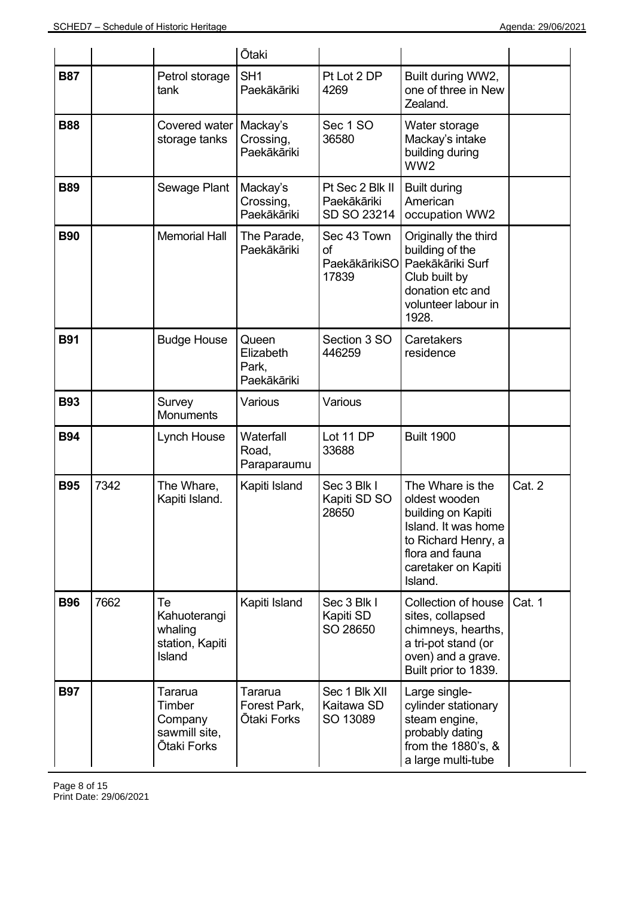|            |      |                                                              | <b>Ōtaki</b>                                  |                                               |                                                                                                                                                            |        |
|------------|------|--------------------------------------------------------------|-----------------------------------------------|-----------------------------------------------|------------------------------------------------------------------------------------------------------------------------------------------------------------|--------|
| <b>B87</b> |      | Petrol storage<br>tank                                       | SH <sub>1</sub><br>Paekākāriki                | Pt Lot 2 DP<br>4269                           | Built during WW2,<br>one of three in New<br>Zealand.                                                                                                       |        |
| <b>B88</b> |      | Covered water<br>storage tanks                               | Mackay's<br>Crossing,<br>Paekākāriki          | Sec 1 SO<br>36580                             | Water storage<br>Mackay's intake<br>building during<br>WW <sub>2</sub>                                                                                     |        |
| <b>B89</b> |      | Sewage Plant                                                 | Mackay's<br>Crossing,<br>Paekākāriki          | Pt Sec 2 Blk II<br>Paekākāriki<br>SD SO 23214 | <b>Built during</b><br>American<br>occupation WW2                                                                                                          |        |
| <b>B90</b> |      | <b>Memorial Hall</b>                                         | The Parade,<br>Paekākāriki                    | Sec 43 Town<br>οf<br>PaekākārikiSO<br>17839   | Originally the third<br>building of the<br>Paekākāriki Surf<br>Club built by<br>donation etc and<br>volunteer labour in<br>1928.                           |        |
| <b>B91</b> |      | <b>Budge House</b>                                           | Queen<br>Elizabeth<br>Park,<br>Paekākāriki    | Section 3 SO<br>446259                        | Caretakers<br>residence                                                                                                                                    |        |
| <b>B93</b> |      | Survey<br>Monuments                                          | Various                                       | Various                                       |                                                                                                                                                            |        |
| <b>B94</b> |      | Lynch House                                                  | Waterfall<br>Road,<br>Paraparaumu             | Lot 11 DP<br>33688                            | <b>Built 1900</b>                                                                                                                                          |        |
| <b>B95</b> | 7342 | The Whare,<br>Kapiti Island.                                 | Kapiti Island                                 | Sec 3 Blk I<br>Kapiti SD SO<br>28650          | The Whare is the<br>oldest wooden<br>building on Kapiti<br>Island. It was home<br>to Richard Henry, a<br>flora and fauna<br>caretaker on Kapiti<br>Island. | Cat. 2 |
| <b>B96</b> | 7662 | Te<br>Kahuoterangi<br>whaling<br>station, Kapiti<br>Island   | Kapiti Island                                 | Sec 3 Blk I<br>Kapiti SD<br>SO 28650          | Collection of house<br>sites, collapsed<br>chimneys, hearths,<br>a tri-pot stand (or<br>oven) and a grave.<br>Built prior to 1839.                         | Cat. 1 |
| <b>B97</b> |      | Tararua<br>Timber<br>Company<br>sawmill site,<br>Ōtaki Forks | Tararua<br>Forest Park,<br><b>Otaki Forks</b> | Sec 1 Blk XII<br>Kaitawa SD<br>SO 13089       | Large single-<br>cylinder stationary<br>steam engine,<br>probably dating<br>from the 1880's, &<br>a large multi-tube                                       |        |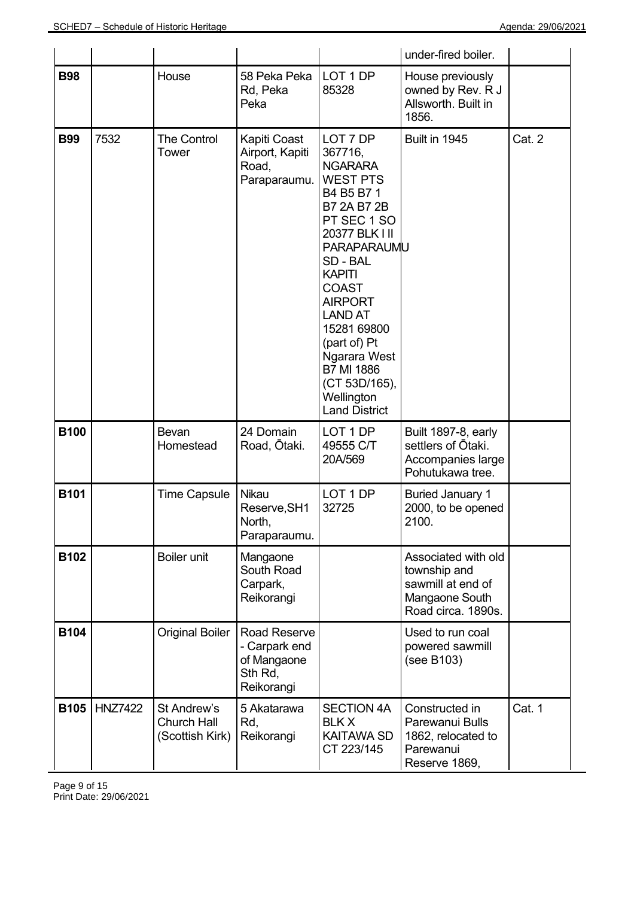|             |                |                                                      |                                                                              |                                                                                                                                                                                                                                                                                                                                                          | under-fired boiler.                                                                              |        |
|-------------|----------------|------------------------------------------------------|------------------------------------------------------------------------------|----------------------------------------------------------------------------------------------------------------------------------------------------------------------------------------------------------------------------------------------------------------------------------------------------------------------------------------------------------|--------------------------------------------------------------------------------------------------|--------|
| <b>B98</b>  |                | House                                                | 58 Peka Peka<br>Rd, Peka<br>Peka                                             | LOT 1 DP<br>85328                                                                                                                                                                                                                                                                                                                                        | House previously<br>owned by Rev. R J<br>Allsworth. Built in<br>1856.                            |        |
| <b>B99</b>  | 7532           | <b>The Control</b><br>Tower                          | Kapiti Coast<br>Airport, Kapiti<br>Road,<br>Paraparaumu.                     | LOT 7 DP<br>367716,<br><b>NGARARA</b><br><b>WEST PTS</b><br>B4 B5 B7 1<br>B7 2A B7 2B<br>PT SEC 1 SO<br>20377 BLK I II<br><b>PARAPARAUMU</b><br>SD - BAL<br><b>KAPITI</b><br><b>COAST</b><br><b>AIRPORT</b><br><b>LAND AT</b><br>15281 69800<br>(part of) Pt<br>Ngarara West<br><b>B7 MI 1886</b><br>(CT 53D/165),<br>Wellington<br><b>Land District</b> | Built in 1945                                                                                    | Cat. 2 |
| <b>B100</b> |                | Bevan<br>Homestead                                   | 24 Domain<br>Road, Ōtaki.                                                    | LOT 1 DP<br>49555 C/T<br>20A/569                                                                                                                                                                                                                                                                                                                         | Built 1897-8, early<br>settlers of Otaki.<br>Accompanies large<br>Pohutukawa tree.               |        |
| <b>B101</b> |                | <b>Time Capsule</b>                                  | Nikau<br>Reserve, SH1<br>North,<br>Paraparaumu.                              | LOT 1 DP<br>32725                                                                                                                                                                                                                                                                                                                                        | <b>Buried January 1</b><br>2000, to be opened<br>2100.                                           |        |
| <b>B102</b> |                | <b>Boiler unit</b>                                   | Mangaone<br>South Road<br>Carpark,<br>Reikorangi                             |                                                                                                                                                                                                                                                                                                                                                          | Associated with old<br>township and<br>sawmill at end of<br>Mangaone South<br>Road circa. 1890s. |        |
| <b>B104</b> |                | <b>Original Boiler</b>                               | <b>Road Reserve</b><br>- Carpark end<br>of Mangaone<br>Sth Rd,<br>Reikorangi |                                                                                                                                                                                                                                                                                                                                                          | Used to run coal<br>powered sawmill<br>(see B103)                                                |        |
| <b>B105</b> | <b>HNZ7422</b> | St Andrew's<br><b>Church Hall</b><br>(Scottish Kirk) | 5 Akatarawa<br>Rd,<br>Reikorangi                                             | <b>SECTION 4A</b><br><b>BLKX</b><br><b>KAITAWA SD</b><br>CT 223/145                                                                                                                                                                                                                                                                                      | Constructed in<br>Parewanui Bulls<br>1862, relocated to<br>Parewanui<br>Reserve 1869,            | Cat. 1 |

Page 9 of 15 Print Date: 29/06/2021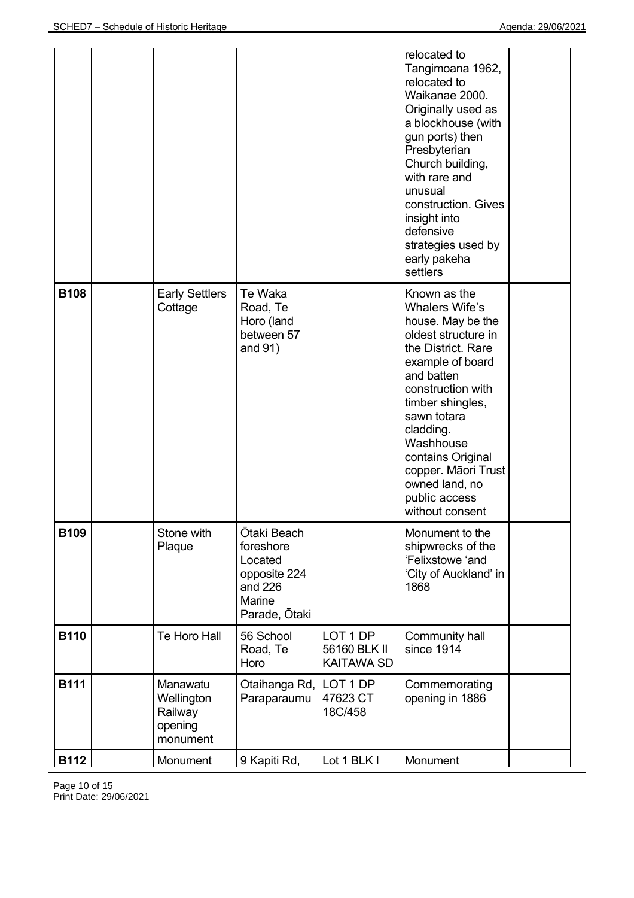|             |                                                          |                                                                                           |                                               | relocated to<br>Tangimoana 1962,<br>relocated to<br>Waikanae 2000.<br>Originally used as<br>a blockhouse (with<br>gun ports) then<br>Presbyterian<br>Church building,<br>with rare and<br>unusual<br>construction. Gives<br>insight into<br>defensive<br>strategies used by<br>early pakeha<br>settlers                       |  |
|-------------|----------------------------------------------------------|-------------------------------------------------------------------------------------------|-----------------------------------------------|-------------------------------------------------------------------------------------------------------------------------------------------------------------------------------------------------------------------------------------------------------------------------------------------------------------------------------|--|
| <b>B108</b> | <b>Early Settlers</b><br>Cottage                         | Te Waka<br>Road, Te<br>Horo (land<br>between 57<br>and 91)                                |                                               | Known as the<br><b>Whalers Wife's</b><br>house. May be the<br>oldest structure in<br>the District. Rare<br>example of board<br>and batten<br>construction with<br>timber shingles,<br>sawn totara<br>cladding.<br>Washhouse<br>contains Original<br>copper. Māori Trust<br>owned land, no<br>public access<br>without consent |  |
| <b>B109</b> | Stone with<br>Plaque                                     | Ōtaki Beach<br>foreshore<br>Located<br>opposite 224<br>and 226<br>Marine<br>Parade, Ōtaki |                                               | Monument to the<br>shipwrecks of the<br>'Felixstowe 'and<br>'City of Auckland' in<br>1868                                                                                                                                                                                                                                     |  |
| <b>B110</b> | Te Horo Hall                                             | 56 School<br>Road, Te<br>Horo                                                             | LOT 1 DP<br>56160 BLK II<br><b>KAITAWA SD</b> | Community hall<br>since 1914                                                                                                                                                                                                                                                                                                  |  |
| <b>B111</b> | Manawatu<br>Wellington<br>Railway<br>opening<br>monument | Otaihanga Rd,  <br>Paraparaumu                                                            | LOT 1 DP<br>47623 CT<br>18C/458               | Commemorating<br>opening in 1886                                                                                                                                                                                                                                                                                              |  |
| <b>B112</b> | Monument                                                 | 9 Kapiti Rd,                                                                              | Lot 1 BLK I                                   | Monument                                                                                                                                                                                                                                                                                                                      |  |

Page 10 of 15 Print Date: 29/06/2021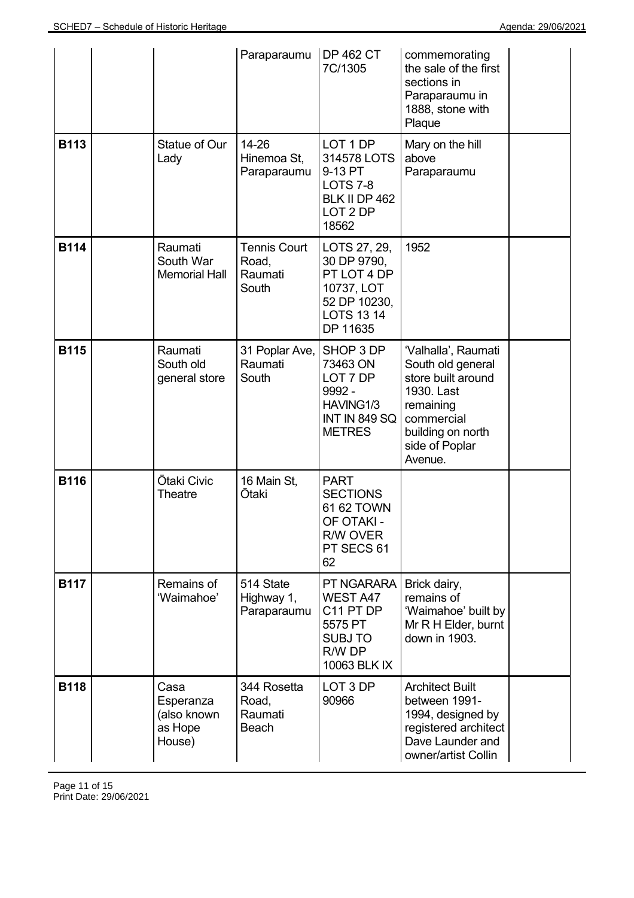|             |                                                       | Paraparaumu                                      | <b>DP 462 CT</b><br>7C/1305                                                                               | commemorating<br>the sale of the first<br>sections in<br>Paraparaumu in<br>1888, stone with<br>Plaque                                                     |  |
|-------------|-------------------------------------------------------|--------------------------------------------------|-----------------------------------------------------------------------------------------------------------|-----------------------------------------------------------------------------------------------------------------------------------------------------------|--|
| <b>B113</b> | Statue of Our<br>Lady                                 | 14-26<br>Hinemoa St,<br>Paraparaumu              | LOT 1 DP<br>314578 LOTS<br>9-13 PT<br><b>LOTS 7-8</b><br>BLK II DP 462<br>LOT 2 DP<br>18562               | Mary on the hill<br>above<br>Paraparaumu                                                                                                                  |  |
| <b>B114</b> | Raumati<br>South War<br><b>Memorial Hall</b>          | <b>Tennis Court</b><br>Road,<br>Raumati<br>South | LOTS 27, 29,<br>30 DP 9790,<br>PT LOT 4 DP<br>10737, LOT<br>52 DP 10230,<br><b>LOTS 13 14</b><br>DP 11635 | 1952                                                                                                                                                      |  |
| <b>B115</b> | Raumati<br>South old<br>general store                 | 31 Poplar Ave,<br>Raumati<br>South               | SHOP 3 DP<br>73463 ON<br>LOT 7 DP<br>9992 -<br>HAVING1/3<br><b>INT IN 849 SQ</b><br><b>METRES</b>         | 'Valhalla', Raumati<br>South old general<br>store built around<br>1930. Last<br>remaining<br>commercial<br>building on north<br>side of Poplar<br>Avenue. |  |
| <b>B116</b> | Ōtaki Civic<br><b>Theatre</b>                         | 16 Main St,<br>Ōtaki                             | <b>PART</b><br><b>SECTIONS</b><br>61 62 TOWN<br>OF OTAKI -<br>R/W OVER<br>PT SECS 61<br>62                |                                                                                                                                                           |  |
| <b>B117</b> | Remains of<br>'Waimahoe'                              | 514 State<br>Highway 1,<br>Paraparaumu           | PT NGARARA<br>WEST A47<br>C11 PT DP<br>5575 PT<br><b>SUBJ TO</b><br>R/W DP<br>10063 BLK IX                | Brick dairy,<br>remains of<br>'Waimahoe' built by<br>Mr R H Elder, burnt<br>down in 1903.                                                                 |  |
| <b>B118</b> | Casa<br>Esperanza<br>(also known<br>as Hope<br>House) | 344 Rosetta<br>Road,<br>Raumati<br><b>Beach</b>  | LOT 3 DP<br>90966                                                                                         | <b>Architect Built</b><br>between 1991-<br>1994, designed by<br>registered architect<br>Dave Launder and<br>owner/artist Collin                           |  |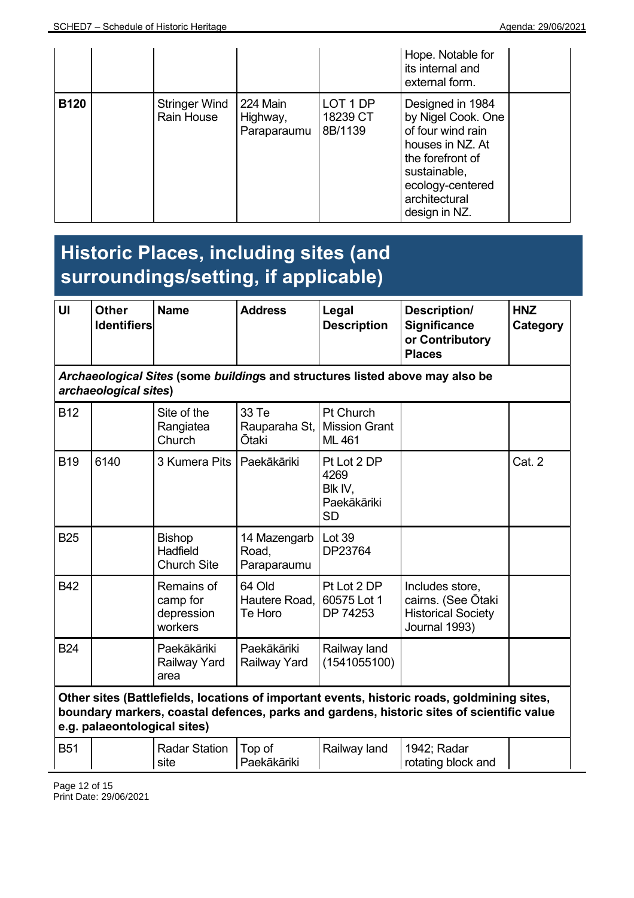|             |                             |                                     |                                 | Hope. Notable for<br>its internal and<br>external form.                                                                                                                   |  |
|-------------|-----------------------------|-------------------------------------|---------------------------------|---------------------------------------------------------------------------------------------------------------------------------------------------------------------------|--|
| <b>B120</b> | Stringer Wind<br>Rain House | 224 Main<br>Highway,<br>Paraparaumu | LOT 1 DP<br>18239 CT<br>8B/1139 | Designed in 1984<br>by Nigel Cook. One<br>of four wind rain<br>houses in NZ. At<br>the forefront of<br>sustainable,<br>ecology-centered<br>architectural<br>design in NZ. |  |

#### **Historic Places, including sites (and surroundings/setting, if applicable)**

| UI | <b>Other</b><br><b>Identifiers</b> | <b>Name</b> | <b>Address</b> | Legal<br><b>Description</b> | Description/<br><b>Significance</b><br>or Contributory<br><b>Places</b> | <b>HNZ</b><br>Category |
|----|------------------------------------|-------------|----------------|-----------------------------|-------------------------------------------------------------------------|------------------------|
|----|------------------------------------|-------------|----------------|-----------------------------|-------------------------------------------------------------------------|------------------------|

#### *Archaeological Sites* **(some** *building***s and structures listed above may also be** *archaeological sites***)**

| <b>B12</b>               |      | Site of the<br>Rangiatea<br>Church              | 33 Te<br>Rauparaha St,<br><b>Ōtaki</b> | <b>Pt Church</b><br><b>Mission Grant</b><br>ML 461  |                                                                                     |        |
|--------------------------|------|-------------------------------------------------|----------------------------------------|-----------------------------------------------------|-------------------------------------------------------------------------------------|--------|
| <b>B19</b>               | 6140 | 3 Kumera Pits                                   | Paekākāriki                            | Pt Lot 2 DP<br>4269<br>Blk IV,<br>Paekākāriki<br>SD |                                                                                     | Cat. 2 |
| <b>B25</b>               |      | <b>Bishop</b><br>Hadfield<br><b>Church Site</b> | 14 Mazengarb<br>Road,<br>Paraparaumu   | Lot 39<br>DP23764                                   |                                                                                     |        |
| <b>B42</b>               |      | Remains of<br>camp for<br>depression<br>workers | 64 Old<br>Hautere Road,<br>Te Horo     | Pt Lot 2 DP<br>60575 Lot 1<br>DP 74253              | Includes store,<br>cairns. (See Ōtaki<br><b>Historical Society</b><br>Journal 1993) |        |
| <b>B24</b><br><b>AU.</b> |      | Paekākāriki<br>Railway Yard<br>area             | Paekākāriki<br><b>Railway Yard</b>     | Railway land<br>(1541055100)                        |                                                                                     |        |

**Other sites (Battlefields, locations of important events, historic roads, goldmining sites, boundary markers, coastal defences, parks and gardens, historic sites of scientific value e.g. palaeontological sites)**

| B5 <sup>2</sup> |  | <b>Radar Station</b><br>site | Top of<br>Paekākāriki | Railway land | 1942; Radar<br>rotating block and |  |  |
|-----------------|--|------------------------------|-----------------------|--------------|-----------------------------------|--|--|
|-----------------|--|------------------------------|-----------------------|--------------|-----------------------------------|--|--|

Page 12 of 15 Print Date: 29/06/2021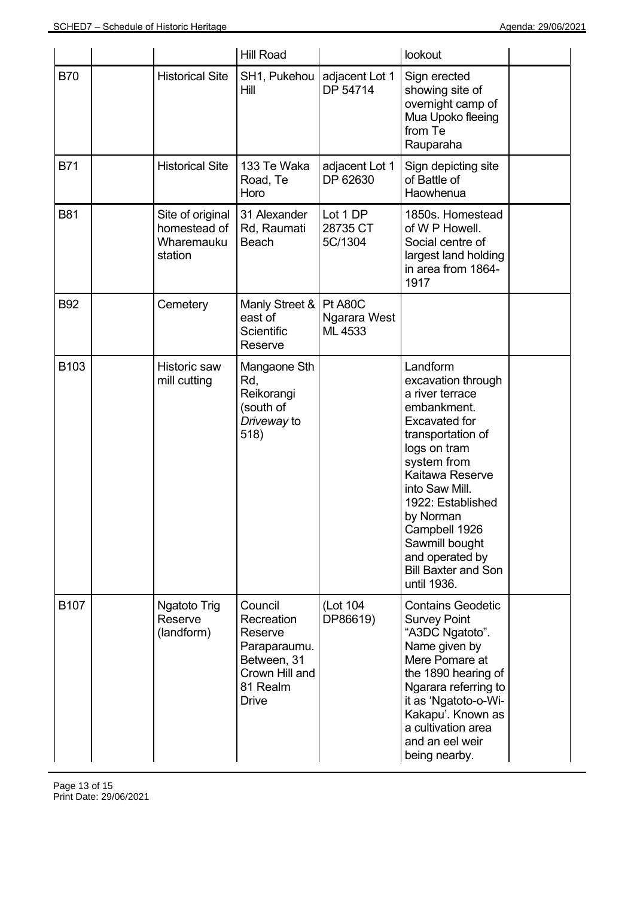|            |                                                           | <b>Hill Road</b>                                                                                              |                                    | lookout                                                                                                                                                                                                                                                                                                                |  |
|------------|-----------------------------------------------------------|---------------------------------------------------------------------------------------------------------------|------------------------------------|------------------------------------------------------------------------------------------------------------------------------------------------------------------------------------------------------------------------------------------------------------------------------------------------------------------------|--|
| <b>B70</b> | <b>Historical Site</b>                                    | SH1, Pukehou<br>Hill                                                                                          | adjacent Lot 1<br>DP 54714         | Sign erected<br>showing site of<br>overnight camp of<br>Mua Upoko fleeing<br>from Te<br>Rauparaha                                                                                                                                                                                                                      |  |
| <b>B71</b> | <b>Historical Site</b>                                    | 133 Te Waka<br>Road, Te<br>Horo                                                                               | adjacent Lot 1<br>DP 62630         | Sign depicting site<br>of Battle of<br>Haowhenua                                                                                                                                                                                                                                                                       |  |
| <b>B81</b> | Site of original<br>homestead of<br>Wharemauku<br>station | 31 Alexander<br>Rd, Raumati<br>Beach                                                                          | Lot 1 DP<br>28735 CT<br>5C/1304    | 1850s. Homestead<br>of W P Howell.<br>Social centre of<br>largest land holding<br>in area from 1864-<br>1917                                                                                                                                                                                                           |  |
| <b>B92</b> | Cemetery                                                  | Manly Street &<br>east of<br>Scientific<br>Reserve                                                            | Pt A80C<br>Ngarara West<br>ML 4533 |                                                                                                                                                                                                                                                                                                                        |  |
| B103       | <b>Historic saw</b><br>mill cutting                       | Mangaone Sth<br>Rd,<br>Reikorangi<br>(south of<br>Driveway to<br>518)                                         |                                    | Landform<br>excavation through<br>a river terrace<br>embankment.<br><b>Excavated for</b><br>transportation of<br>logs on tram<br>system from<br>Kaitawa Reserve<br>into Saw Mill.<br>1922: Established<br>by Norman<br>Campbell 1926<br>Sawmill bought<br>and operated by<br><b>Bill Baxter and Son</b><br>until 1936. |  |
| B107       | Ngatoto Trig<br>Reserve<br>(landform)                     | Council<br>Recreation<br>Reserve<br>Paraparaumu.<br>Between, 31<br>Crown Hill and<br>81 Realm<br><b>Drive</b> | (Lot 104<br>DP86619)               | <b>Contains Geodetic</b><br><b>Survey Point</b><br>"A3DC Ngatoto".<br>Name given by<br>Mere Pomare at<br>the 1890 hearing of<br>Ngarara referring to<br>it as 'Ngatoto-o-Wi-<br>Kakapu'. Known as<br>a cultivation area<br>and an eel weir<br>being nearby.                                                            |  |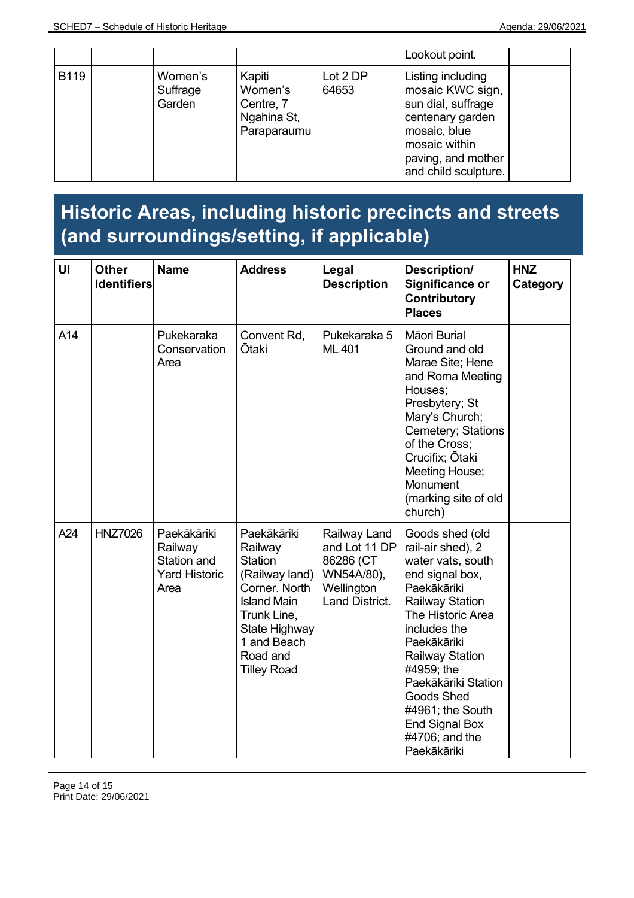|             |                               |                                                              |                   | Lookout point.                                                                                                                                                 |  |
|-------------|-------------------------------|--------------------------------------------------------------|-------------------|----------------------------------------------------------------------------------------------------------------------------------------------------------------|--|
| <b>B119</b> | Women's<br>Suffrage<br>Garden | Kapiti<br>Women's<br>Centre, 7<br>Ngahina St,<br>Paraparaumu | Lot 2 DP<br>64653 | Listing including<br>mosaic KWC sign,<br>sun dial, suffrage<br>centenary garden<br>mosaic, blue<br>mosaic within<br>paving, and mother<br>and child sculpture. |  |

## **Historic Areas, including historic precincts and streets (and surroundings/setting, if applicable)**

| UI  | <b>Other</b><br><b>Identifiers</b> | <b>Name</b>                                                           | <b>Address</b>                                                                                                                                                                     | Legal<br><b>Description</b>                                                              | Description/<br><b>Significance or</b><br><b>Contributory</b><br><b>Places</b>                                                                                                                                                                                                                                                           | <b>HNZ</b><br>Category |
|-----|------------------------------------|-----------------------------------------------------------------------|------------------------------------------------------------------------------------------------------------------------------------------------------------------------------------|------------------------------------------------------------------------------------------|------------------------------------------------------------------------------------------------------------------------------------------------------------------------------------------------------------------------------------------------------------------------------------------------------------------------------------------|------------------------|
| A14 |                                    | Pukekaraka<br>Conservation<br>Area                                    | Convent Rd,<br>Ōtaki                                                                                                                                                               | Pukekaraka 5<br>ML 401                                                                   | Māori Burial<br>Ground and old<br>Marae Site; Hene<br>and Roma Meeting<br>Houses;<br>Presbytery; St<br>Mary's Church;<br>Cemetery; Stations<br>of the Cross;<br>Crucifix; Otaki<br>Meeting House;<br><b>Monument</b><br>(marking site of old<br>church)                                                                                  |                        |
| A24 | <b>HNZ7026</b>                     | Paekākāriki<br>Railway<br>Station and<br><b>Yard Historic</b><br>Area | Paekākāriki<br>Railway<br><b>Station</b><br>(Railway land)<br>Corner. North<br><b>Island Main</b><br>Trunk Line,<br>State Highway<br>1 and Beach<br>Road and<br><b>Tilley Road</b> | Railway Land<br>and Lot 11 DP<br>86286 (CT<br>WN54A/80),<br>Wellington<br>Land District. | Goods shed (old<br>rail-air shed), 2<br>water vats, south<br>end signal box,<br>Paekākāriki<br><b>Railway Station</b><br>The Historic Area<br>includes the<br>Paekākāriki<br><b>Railway Station</b><br>#4959; the<br>Paekākāriki Station<br>Goods Shed<br>$\#4961$ ; the South<br><b>End Signal Box</b><br>#4706; and the<br>Paekākāriki |                        |